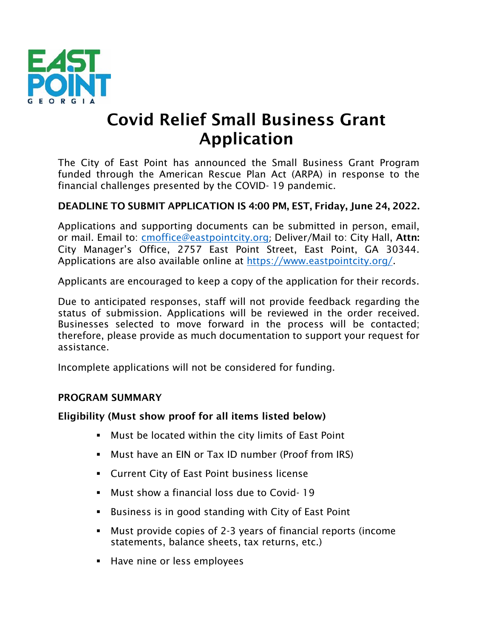

# Covid Relief Small Business Grant Application

The City of East Point has announced the Small Business Grant Program funded through the American Rescue Plan Act (ARPA) in response to the financial challenges presented by the COVID- 19 pandemic.

#### DEADLINE TO SUBMIT APPLICATION IS 4:00 PM, EST, Friday, June 24, 2022.

Applications and supporting documents can be submitted in person, email, or mail. Email to: [cmoffice@eastpointcity.org](mailto:cmoffice@eastpointcity.org); Deliver/Mail to: City Hall, Attn: City Manager's Office, 2757 East Point Street, East Point, GA 30344. Applications are also available online at [https://www.eastpointcity.org/.](https://www.eastpointcity.org/)

Applicants are encouraged to keep a copy of the application for their records.

Due to anticipated responses, staff will not provide feedback regarding the status of submission. Applications will be reviewed in the order received. Businesses selected to move forward in the process will be contacted; therefore, please provide as much documentation to support your request for assistance.

Incomplete applications will not be considered for funding.

#### PROGRAM SUMMARY

#### Eligibility (Must show proof for all items listed below)

- Must be located within the city limits of East Point
- Must have an EIN or Tax ID number (Proof from IRS)
- **EXECUTE: Click** City of East Point business license
- Must show a financial loss due to Covid- 19
- Business is in good standing with City of East Point
- Must provide copies of 2-3 years of financial reports (income statements, balance sheets, tax returns, etc.)
- Have nine or less employees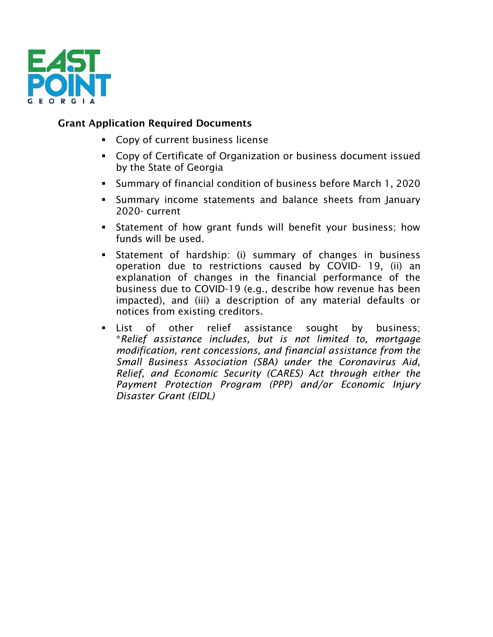

### Grant Application Required Documents

- Copy of current business license
- Copy of Certificate of Organization or business document issued by the State of Georgia
- Summary of financial condition of business before March 1, 2020
- Summary income statements and balance sheets from January 2020- current
- **EXECT** Statement of how grant funds will benefit your business; how funds will be used.
- Statement of hardship: (i) summary of changes in business operation due to restrictions caused by COVID- 19, (ii) an explanation of changes in the financial performance of the business due to COVID-19 (e.g., describe how revenue has been impacted), and (iii) a description of any material defaults or notices from existing creditors.
- List of other relief assistance sought by business; \**Relief assistance includes, but is not limited to, mortgage modification, rent concessions, and financial assistance from the Small Business Association (SBA) under the Coronavirus Aid, Relief, and Economic Security (CARES) Act through either the Payment Protection Program (PPP) and/or Economic Injury Disaster Grant (EIDL)*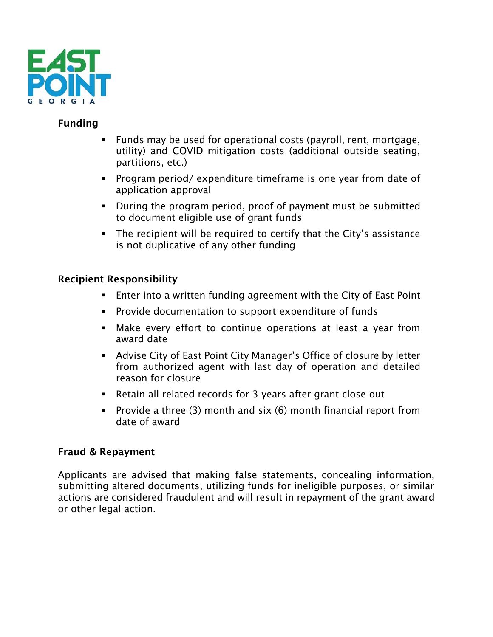

## Funding

- Funds may be used for operational costs (payroll, rent, mortgage, utility) and COVID mitigation costs (additional outside seating, partitions, etc.)
- Program period/ expenditure timeframe is one year from date of application approval
- During the program period, proof of payment must be submitted to document eligible use of grant funds
- The recipient will be required to certify that the City's assistance is not duplicative of any other funding

## Recipient Responsibility

- Enter into a written funding agreement with the City of East Point
- Provide documentation to support expenditure of funds
- **■** Make every effort to continue operations at least a year from award date
- Advise City of East Point City Manager's Office of closure by letter from authorized agent with last day of operation and detailed reason for closure
- Retain all related records for 3 years after grant close out
- **•** Provide a three (3) month and  $s$ ix (6) month financial report from date of award

#### Fraud & Repayment

Applicants are advised that making false statements, concealing information, submitting altered documents, utilizing funds for ineligible purposes, or similar actions are considered fraudulent and will result in repayment of the grant award or other legal action.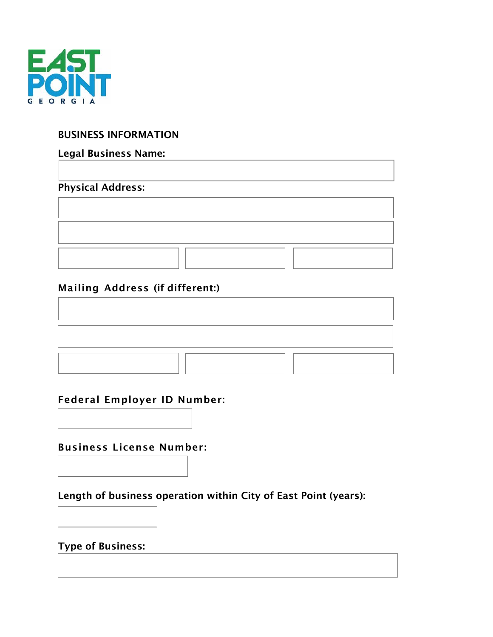

### BUSINESS INFORMATION

## Legal Business Name:

## Physical Address:

# Mailing Address (if different:)

# Federal Employer ID Number:

Business License Number:

Length of business operation within City of East Point (years):

# Type of Business: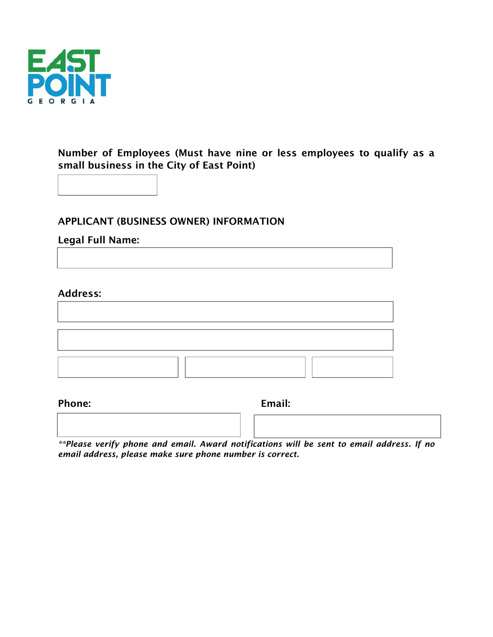

## Number of Employees (Must have nine or less employees to qualify as a small business in the City of East Point)

APPLICANT (BUSINESS OWNER) INFORMATION

#### Legal Full Name:

#### Address:

#### Phone: Email: Email: Email: Email: Email: Email: Email: Email: Email: Email: Email: Email: Email: Email: Email: Email: Email: Email: Email: Email: Email: Email: Email: Email: Email: Email: Email: Email: Email: Email: Email

| $\mathcal{A}$ and $\mathcal{A}$ are as $\mathcal{A}$ . |  |  | - - - - | - - | . |  |  |  |
|--------------------------------------------------------|--|--|---------|-----|---|--|--|--|
|                                                        |  |  |         |     |   |  |  |  |
|                                                        |  |  |         |     |   |  |  |  |

*\*\*Please verify phone and email. Award notifications will be sent to email address. If no email address, please make sure phone number is correct.*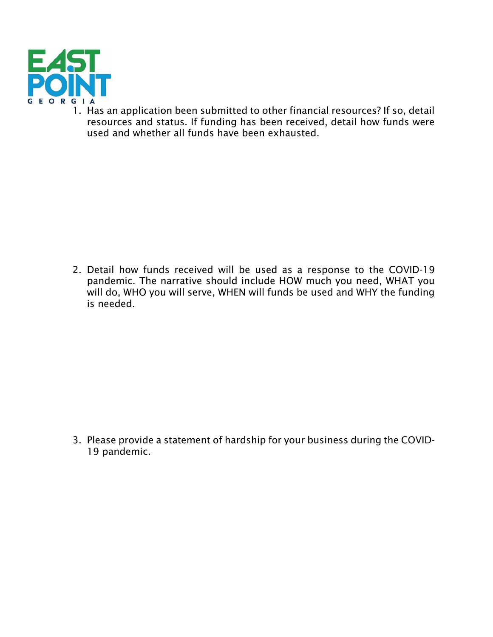

1. Has an application been submitted to other financial resources? If so, detail resources and status. If funding has been received, detail how funds were used and whether all funds have been exhausted.

2. Detail how funds received will be used as a response to the COVID-19 pandemic. The narrative should include HOW much you need, WHAT you will do, WHO you will serve, WHEN will funds be used and WHY the funding is needed.

3. Please provide a statement of hardship for your business during the COVID-19 pandemic.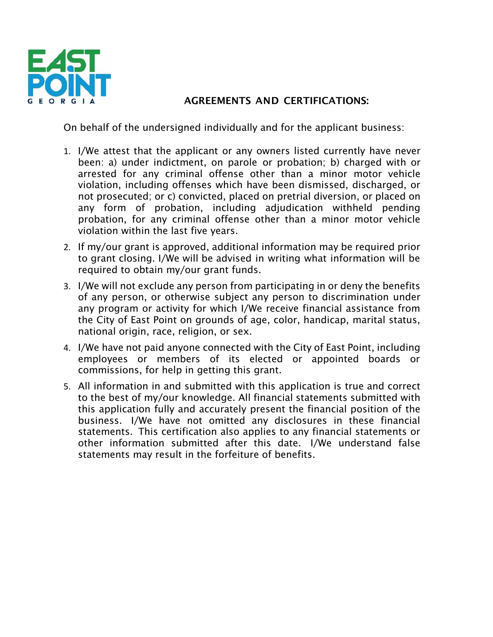

# AGREEMENTS AND CERTIFICATIONS:

On behalf of the undersigned individually and for the applicant business:

- 1. I/We attest that the applicant or any owners listed currently have never been: a) under indictment, on parole or probation; b) charged with or arrested for any criminal offense other than a minor motor vehicle violation, including offenses which have been dismissed, discharged, or not prosecuted; or c) convicted, placed on pretrial diversion, or placed on any form of probation, including adjudication withheld pending probation, for any criminal offense other than a minor motor vehicle violation within the last five years.
- 2. If my/our grant is approved, additional information may be required prior to grant closing. I/We will be advised in writing what information will be required to obtain my/our grant funds.
- 3. I/We will not exclude any person from participating in or deny the benefits of any person, or otherwise subject any person to discrimination under any program or activity for which I/We receive financial assistance from the City of East Point on grounds of age, color, handicap, marital status, national origin, race, religion, or sex.
- 4. I/We have not paid anyone connected with the City of East Point, including employees or members of its elected or appointed boards or commissions, for help in getting this grant.
- 5. All information in and submitted with this application is true and correct to the best of my/our knowledge. All financial statements submitted with this application fully and accurately present the financial position of the business. I/We have not omitted any disclosures in these financial statements. This certification also applies to any financial statements or other information submitted after this date. I/We understand false statements may result in the forfeiture of benefits.